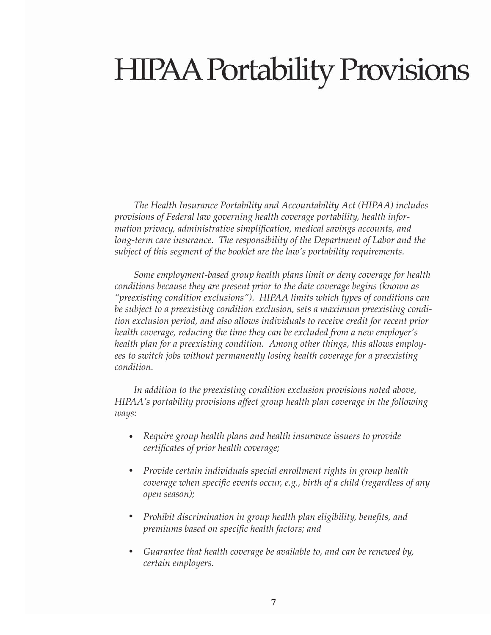# **HIPAA Portability Provisions**

*The Health Insurance Portability and Accountability Act (HIPAA) includes provisions of Federal law governing health coverage portability, health information privacy, administrative simplifi cation, medical savings accounts, and long-term care insurance. The responsibility of the Department of Labor and the subject of this segment of the booklet are the law's portability requirements.* 

*Some employment-based group health plans limit or deny coverage for health conditions because they are present prior to the date coverage begins (known as "preexisting condition exclusions"). HIPAA limits which types of conditions can be subject to a preexisting condition exclusion, sets a maximum preexisting condition exclusion period, and also allows individuals to receive credit for recent prior health coverage, reducing the time they can be excluded from a new employer's health plan for a preexisting condition. Among other things, this allows employees to switch jobs without permanently losing health coverage for a preexisting condition.* 

*In addition to the preexisting condition exclusion provisions noted above, HIPAA's portability provisions aff ect group health plan coverage in the following ways:* 

- *Require group health plans and health insurance issuers to provide certifi cates of prior health coverage;*   $\bullet$
- *Provide certain individuals special enrollment rights in group health coverage when specific events occur, e.g., birth of a child (regardless of any open season);*   $\bullet$
- *Prohibit discrimination in group health plan eligibility, benefits, and premiums based on specific health factors; and*  $\bullet$
- *Guarantee that health coverage be available to, and can be renewed by, certain employers.*   $\bullet$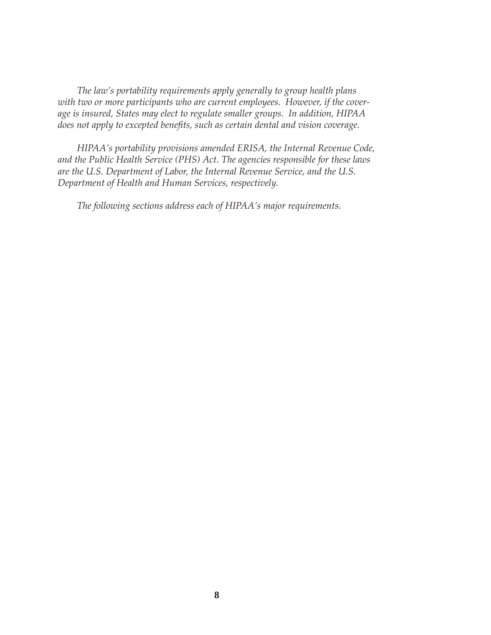*The law's portability requirements apply generally to group health plans with two or more participants who are current employees. However, if the coverage is insured, States may elect to regulate smaller groups. In addition, HIPAA*  does not apply to excepted benefits, such as certain dental and vision coverage.

*HIPAA's portability provisions amended ERISA, the Internal Revenue Code, and the Public Health Service (PHS) Act. The agencies responsible for these laws are the U.S. Department of Labor, the Internal Revenue Service, and the U.S. Department of Health and Human Services, respectively.* 

*The following sections address each of HIPAA's major requirements.*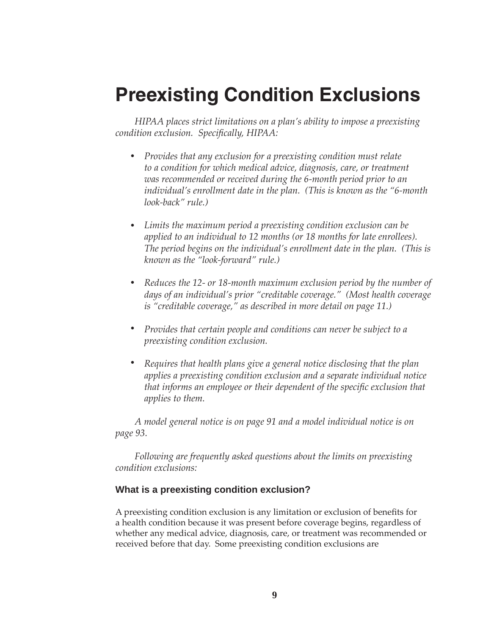# **Preexisting Condition Exclusions**

*HIPAA places strict limitations on a plan's ability to impose a preexisting condition exclusion. Specifi cally, HIPAA:*

- *Provides that any exclusion for a preexisting condition must relate to a condition for which medical advice, diagnosis, care, or treatment was recommended or received during the 6-month period prior to an individual's enrollment date in the plan. (This is known as the "6-month look-back" rule.)*
- *Limits the maximum period a preexisting condition exclusion can be applied to an individual to 12 months (or 18 months for late enrollees). The period begins on the individual's enrollment date in the plan. (This is known as the "look-forward" rule.)*   $\bullet$
- *Reduces the 12- or 18-month maximum exclusion period by the number of days of an individual's prior "creditable coverage." (Most health coverage is "creditable coverage," as described in more detail on page 11.)*   $\bullet$
- *Provides that certain people and conditions can never be subject to a preexisting condition exclusion.*   $\bullet$
- *Requires that health plans give a general notice disclosing that the plan applies a preexisting condition exclusion and a separate individual notice that informs an employee or their dependent of the specific exclusion that applies to them.*  $\bullet$

*A model general notice is on page 91 and a model individual notice is on page 93.*

*Following are frequently asked questions about the limits on preexisting condition exclusions:* 

# **What is a preexisting condition exclusion?**

A preexisting condition exclusion is any limitation or exclusion of benefits for a health condition because it was present before coverage begins, regardless of whether any medical advice, diagnosis, care, or treatment was recommended or received before that day. Some preexisting condition exclusions are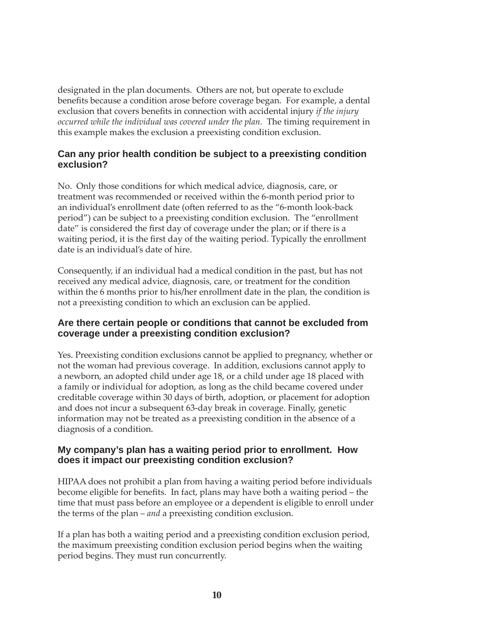designated in the plan documents. Others are not, but operate to exclude benefits because a condition arose before coverage began. For example, a dental exclusion that covers benefits in connection with accidental injury *if the injury occurred while the individual was covered under the plan.* The timing requirement in this example makes the exclusion a preexisting condition exclusion.

### **Can any prior health condition be subject to a preexisting condition exclusion?**

No. Only those conditions for which medical advice, diagnosis, care, or treatment was recommended or received within the 6-month period prior to an individual's enrollment date (often referred to as the "6-month look-back period") can be subject to a preexisting condition exclusion. The "enrollment date" is considered the first day of coverage under the plan; or if there is a waiting period, it is the first day of the waiting period. Typically the enrollment date is an individual's date of hire.

Consequently, if an individual had a medical condition in the past, but has not received any medical advice, diagnosis, care, or treatment for the condition within the 6 months prior to his/her enrollment date in the plan, the condition is not a preexisting condition to which an exclusion can be applied.

### **Are there certain people or conditions that cannot be excluded from coverage under a preexisting condition exclusion?**

Yes. Preexisting condition exclusions cannot be applied to pregnancy, whether or not the woman had previous coverage. In addition, exclusions cannot apply to a newborn, an adopted child under age 18, or a child under age 18 placed with a family or individual for adoption, as long as the child became covered under creditable coverage within 30 days of birth, adoption, or placement for adoption and does not incur a subsequent 63-day break in coverage. Finally, genetic information may not be treated as a preexisting condition in the absence of a diagnosis of a condition.

# **My company's plan has a waiting period prior to enrollment. How does it impact our preexisting condition exclusion?**

HIPAA does not prohibit a plan from having a waiting period before individuals become eligible for benefits. In fact, plans may have both a waiting period – the time that must pass before an employee or a dependent is eligible to enroll under the terms of the plan – *and* a preexisting condition exclusion.

If a plan has both a waiting period and a preexisting condition exclusion period, the maximum preexisting condition exclusion period begins when the waiting period begins. They must run concurrently.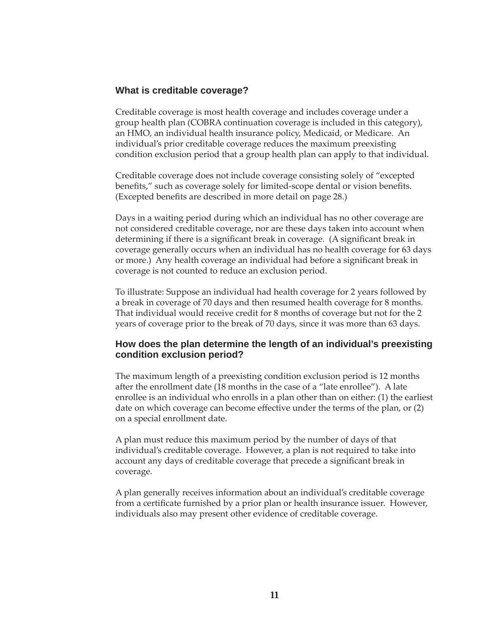#### **What is creditable coverage?**

Creditable coverage is most health coverage and includes coverage under a group health plan (COBRA continuation coverage is included in this category), an HMO, an individual health insurance policy, Medicaid, or Medicare. An individual's prior creditable coverage reduces the maximum preexisting condition exclusion period that a group health plan can apply to that individual.

Creditable coverage does not include coverage consisting solely of "excepted benefits," such as coverage solely for limited-scope dental or vision benefits. (Excepted benefits are described in more detail on page 28.)

Days in a waiting period during which an individual has no other coverage are not considered creditable coverage, nor are these days taken into account when determining if there is a significant break in coverage. (A significant break in coverage generally occurs when an individual has no health coverage for 63 days or more.) Any health coverage an individual had before a significant break in coverage is not counted to reduce an exclusion period.

To illustrate: Suppose an individual had health coverage for 2 years followed by a break in coverage of 70 days and then resumed health coverage for 8 months. That individual would receive credit for 8 months of coverage but not for the 2 years of coverage prior to the break of 70 days, since it was more than 63 days.

### **How does the plan determine the length of an individual's preexisting condition exclusion period?**

The maximum length of a preexisting condition exclusion period is 12 months after the enrollment date (18 months in the case of a "late enrollee"). A late enrollee is an individual who enrolls in a plan other than on either: (1) the earliest date on which coverage can become effective under the terms of the plan, or  $(2)$ on a special enrollment date.

A plan must reduce this maximum period by the number of days of that individual's creditable coverage. However, a plan is not required to take into account any days of creditable coverage that precede a significant break in coverage.

A plan generally receives information about an individual's creditable coverage from a certificate furnished by a prior plan or health insurance issuer. However, individuals also may present other evidence of creditable coverage.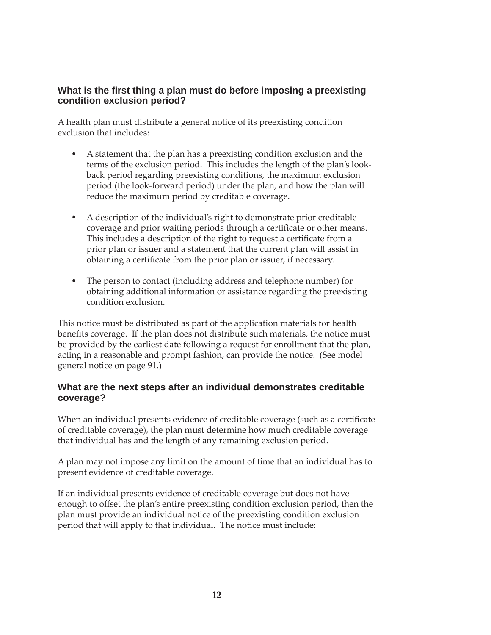# **What is the fi rst thing a plan must do before imposing a preexisting condition exclusion period?**

A health plan must distribute a general notice of its preexisting condition exclusion that includes:

- A statement that the plan has a preexisting condition exclusion and the terms of the exclusion period. This includes the length of the plan's lookback period regarding preexisting conditions, the maximum exclusion period (the look-forward period) under the plan, and how the plan will reduce the maximum period by creditable coverage.
- A description of the individual's right to demonstrate prior creditable coverage and prior waiting periods through a certificate or other means. This includes a description of the right to request a certificate from a prior plan or issuer and a statement that the current plan will assist in obtaining a certificate from the prior plan or issuer, if necessary.  $\bullet$
- The person to contact (including address and telephone number) for obtaining additional information or assistance regarding the preexisting condition exclusion.

This notice must be distributed as part of the application materials for health benefits coverage. If the plan does not distribute such materials, the notice must be provided by the earliest date following a request for enrollment that the plan, acting in a reasonable and prompt fashion, can provide the notice. (See model general notice on page 91.)

### **What are the next steps after an individual demonstrates creditable coverage?**

When an individual presents evidence of creditable coverage (such as a certificate of creditable coverage), the plan must determine how much creditable coverage that individual has and the length of any remaining exclusion period.

A plan may not impose any limit on the amount of time that an individual has to present evidence of creditable coverage.

If an individual presents evidence of creditable coverage but does not have enough to offset the plan's entire preexisting condition exclusion period, then the plan must provide an individual notice of the preexisting condition exclusion period that will apply to that individual. The notice must include: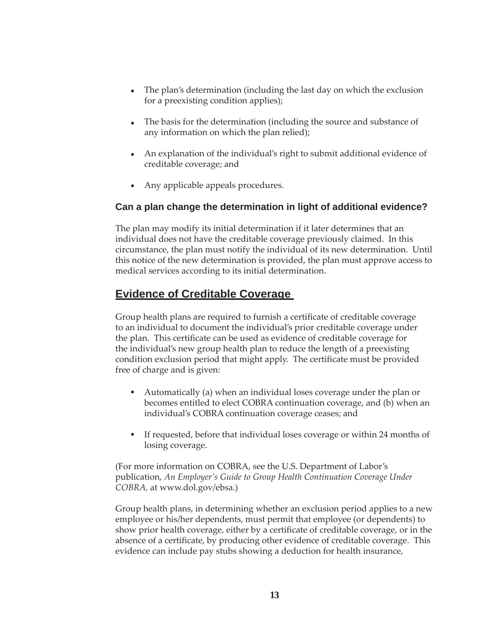- The plan's determination (including the last day on which the exclusion for a preexisting condition applies);
- The basis for the determination (including the source and substance of any information on which the plan relied);
- An explanation of the individual's right to submit additional evidence of creditable coverage; and
- Any applicable appeals procedures.

# **Can a plan change the determination in light of additional evidence?**

The plan may modify its initial determination if it later determines that an individual does not have the creditable coverage previously claimed. In this circumstance, the plan must notify the individual of its new determination. Until this notice of the new determination is provided, the plan must approve access to medical services according to its initial determination.

# **Evidence of Creditable Coverage**

Group health plans are required to furnish a certificate of creditable coverage to an individual to document the individual's prior creditable coverage under the plan. This certificate can be used as evidence of creditable coverage for the individual's new group health plan to reduce the length of a preexisting condition exclusion period that might apply. The certificate must be provided free of charge and is given:

- Automatically (a) when an individual loses coverage under the plan or becomes entitled to elect COBRA continuation coverage, and (b) when an individual's COBRA continuation coverage ceases; and
- If requested, before that individual loses coverage or within 24 months of losing coverage.

(For more information on COBRA, see the U.S. Department of Labor's publication, *An Employer's Guide to Group Health Continuation Coverage Under COBRA,* at www.dol.gov/ebsa*.*)

Group health plans, in determining whether an exclusion period applies to a new employee or his/her dependents, must permit that employee (or dependents) to show prior health coverage, either by a certificate of creditable coverage, or in the absence of a certificate, by producing other evidence of creditable coverage. This evidence can include pay stubs showing a deduction for health insurance,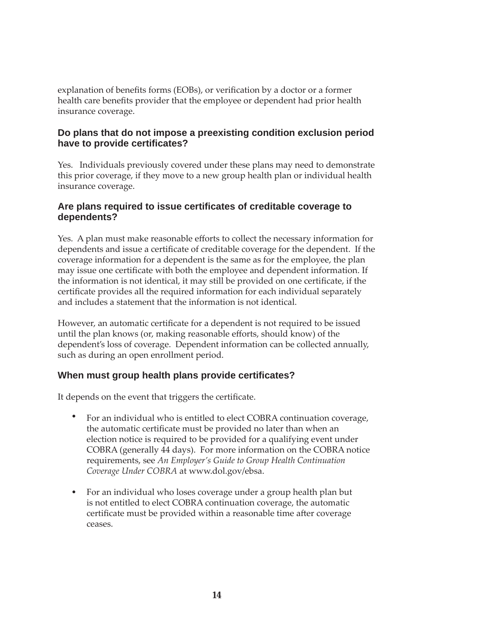explanation of benefits forms (EOBs), or verification by a doctor or a former health care benefits provider that the employee or dependent had prior health insurance coverage.

# **Do plans that do not impose a preexisting condition exclusion period have to provide certifi cates?**

Yes. Individuals previously covered under these plans may need to demonstrate this prior coverage, if they move to a new group health plan or individual health insurance coverage.

# **Are plans required to issue certifi cates of creditable coverage to dependents?**

Yes. A plan must make reasonable efforts to collect the necessary information for dependents and issue a certificate of creditable coverage for the dependent. If the coverage information for a dependent is the same as for the employee, the plan may issue one certificate with both the employee and dependent information. If the information is not identical, it may still be provided on one certificate, if the certificate provides all the required information for each individual separately and includes a statement that the information is not identical.

However, an automatic certificate for a dependent is not required to be issued until the plan knows (or, making reasonable efforts, should know) of the dependent's loss of coverage. Dependent information can be collected annually, such as during an open enrollment period.

# **When must group health plans provide certifi cates?**

It depends on the event that triggers the certificate.

- For an individual who is entitled to elect COBRA continuation coverage, the automatic certificate must be provided no later than when an election notice is required to be provided for a qualifying event under COBRA (generally 44 days). For more information on the COBRA notice requirements, see *An Employer's Guide to Group Health Continuation Coverage Under COBRA* at www.dol.gov/ebsa.  $\bullet$
- For an individual who loses coverage under a group health plan but is not entitled to elect COBRA continuation coverage, the automatic certificate must be provided within a reasonable time after coverage ceases.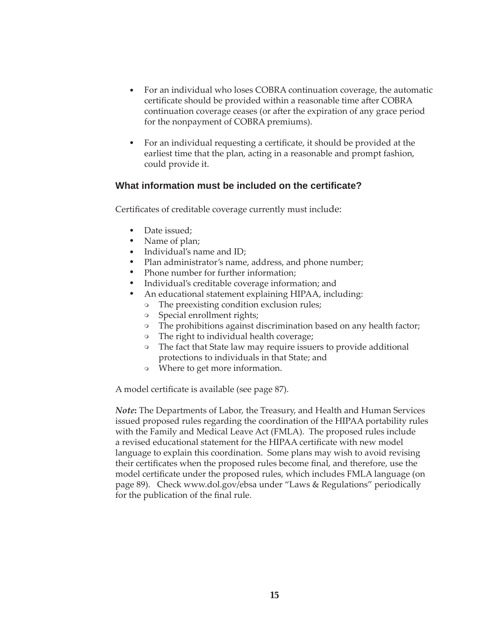- For an individual who loses COBRA continuation coverage, the automatic certificate should be provided within a reasonable time after COBRA continuation coverage ceases (or after the expiration of any grace period for the nonpayment of COBRA premiums).  $\bullet$
- For an individual requesting a certificate, it should be provided at the earliest time that the plan, acting in a reasonable and prompt fashion, could provide it.  $\bullet$

#### **What information must be included on the certificate?**

Certificates of creditable coverage currently must include:

- Date issued;
- Name of plan;
- Individual's name and ID;
- Plan administrator's name, address, and phone number;
- Phone number for further information;  $\bullet$
- Individual's creditable coverage information; and  $\bullet$
- An educational statement explaining HIPAA, including:  $\bullet$ 
	- The preexisting condition exclusion rules;  $\circ$
	- Special enrollment rights;  $\circ$
	- The prohibitions against discrimination based on any health factor;  $\circ$
	- The right to individual health coverage;  $\circ$
	- The fact that State law may require issuers to provide additional protections to individuals in that State; and
	- Where to get more information.

A model certificate is available (see page 87).

*Note***:** The Departments of Labor, the Treasury, and Health and Human Services issued proposed rules regarding the coordination of the HIPAA portability rules with the Family and Medical Leave Act (FMLA). The proposed rules include a revised educational statement for the HIPAA certificate with new model language to explain this coordination. Some plans may wish to avoid revising their certificates when the proposed rules become final, and therefore, use the model certificate under the proposed rules, which includes FMLA language (on page 89). Check www.dol.gov/ebsa under "Laws & Regulations" periodically for the publication of the final rule.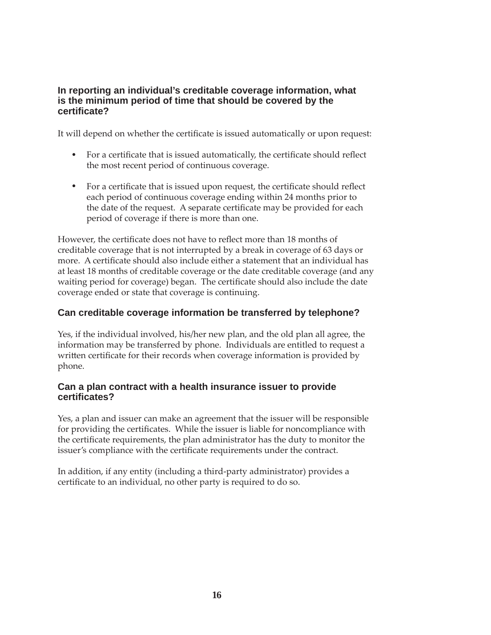#### **In reporting an individual's creditable coverage information, what is the minimum period of time that should be covered by the certifi cate?**

It will depend on whether the certificate is issued automatically or upon request:

- For a certificate that is issued automatically, the certificate should reflect the most recent period of continuous coverage.
- For a certificate that is issued upon request, the certificate should reflect each period of continuous coverage ending within 24 months prior to the date of the request. A separate certificate may be provided for each period of coverage if there is more than one.

However, the certificate does not have to reflect more than 18 months of creditable coverage that is not interrupted by a break in coverage of 63 days or more. A certificate should also include either a statement that an individual has at least 18 months of creditable coverage or the date creditable coverage (and any waiting period for coverage) began. The certificate should also include the date coverage ended or state that coverage is continuing.

# **Can creditable coverage information be transferred by telephone?**

Yes, if the individual involved, his/her new plan, and the old plan all agree, the information may be transferred by phone. Individuals are entitled to request a written certificate for their records when coverage information is provided by phone.

### **Can a plan contract with a health insurance issuer to provide certifi cates?**

Yes, a plan and issuer can make an agreement that the issuer will be responsible for providing the certificates. While the issuer is liable for noncompliance with the certificate requirements, the plan administrator has the duty to monitor the issuer's compliance with the certificate requirements under the contract.

In addition, if any entity (including a third-party administrator) provides a certificate to an individual, no other party is required to do so.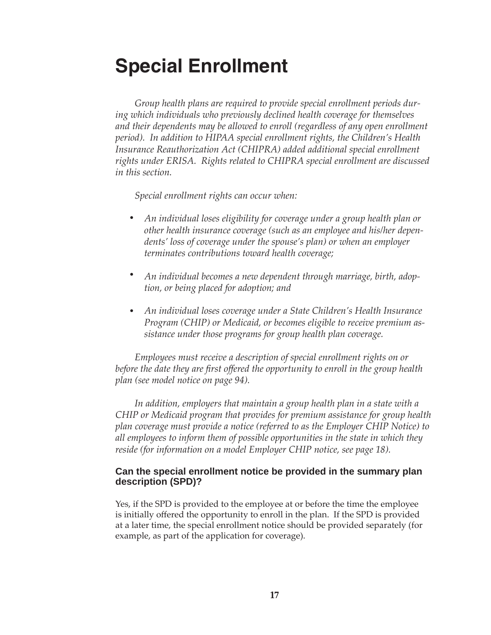# **Special Enrollment**

*Group health plans are required to provide special enrollment periods during which individuals who previously declined health coverage for themselves and their dependents may be allowed to enroll (regardless of any open enrollment period). In addition to HIPAA special enrollment rights, the Children's Health Insurance Reauthorization Act (CHIPRA) added additional special enrollment rights under ERISA. Rights related to CHIPRA special enrollment are discussed in this section.*

*Special enrollment rights can occur when:*

- *An individual loses eligibility for coverage under a group health plan or other health insurance coverage (such as an employee and his/her dependents' loss of coverage under the spouse's plan) or when an employer terminates contributions toward health coverage;*   $\bullet$
- *An individual becomes a new dependent through marriage, birth, adoption, or being placed for adoption; and*   $\bullet$
- *An individual loses coverage under a State Children's Health Insurance Program (CHIP) or Medicaid, or becomes eligible to receive premium assistance under those programs for group health plan coverage.*  $\bullet$

*Employees must receive a description of special enrollment rights on or before the date they are first offered the opportunity to enroll in the group health plan (see model notice on page 94).* 

*In addition, employers that maintain a group health plan in a state with a CHIP or Medicaid program that provides for premium assistance for group health plan coverage must provide a notice (referred to as the Employer CHIP Notice) to all employees to inform them of possible opportunities in the state in which they reside (for information on a model Employer CHIP notice, see page 18).*

### **Can the special enrollment notice be provided in the summary plan description (SPD)?**

Yes, if the SPD is provided to the employee at or before the time the employee is initially offered the opportunity to enroll in the plan. If the SPD is provided at a later time, the special enrollment notice should be provided separately (for example, as part of the application for coverage).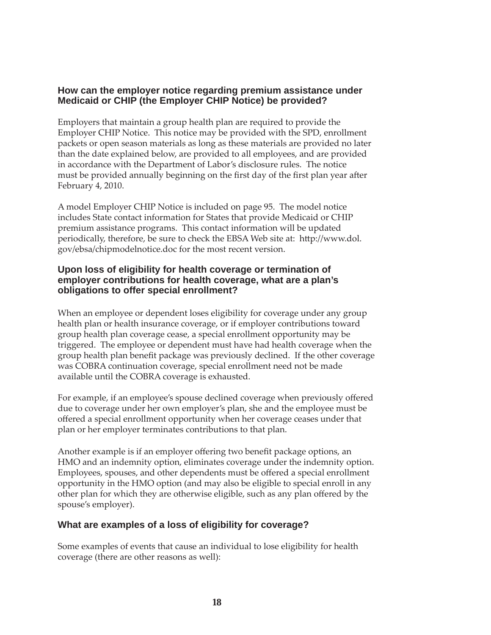# **How can the employer notice regarding premium assistance under Medicaid or CHIP (the Employer CHIP Notice) be provided?**

Employers that maintain a group health plan are required to provide the Employer CHIP Notice. This notice may be provided with the SPD, enrollment packets or open season materials as long as these materials are provided no later than the date explained below, are provided to all employees, and are provided in accordance with the Department of Labor's disclosure rules. The notice must be provided annually beginning on the first day of the first plan year after February 4, 2010.

A model Employer CHIP Notice is included on page 95. The model notice includes State contact information for States that provide Medicaid or CHIP premium assistance programs. This contact information will be updated periodically, therefore, be sure to check the EBSA Web site at: http://www.dol. gov/ebsa/chipmodelnotice.doc for the most recent version.

# **Upon loss of eligibility for health coverage or termination of employer contributions for health coverage, what are a plan's obligations to offer special enrollment?**

When an employee or dependent loses eligibility for coverage under any group health plan or health insurance coverage, or if employer contributions toward group health plan coverage cease, a special enrollment opportunity may be triggered. The employee or dependent must have had health coverage when the group health plan benefit package was previously declined. If the other coverage was COBRA continuation coverage, special enrollment need not be made available until the COBRA coverage is exhausted.

For example, if an employee's spouse declined coverage when previously offered due to coverage under her own employer's plan, she and the employee must be offered a special enrollment opportunity when her coverage ceases under that plan or her employer terminates contributions to that plan.

Another example is if an employer offering two benefit package options, an HMO and an indemnity option, eliminates coverage under the indemnity option. Employees, spouses, and other dependents must be offered a special enrollment opportunity in the HMO option (and may also be eligible to special enroll in any other plan for which they are otherwise eligible, such as any plan offered by the spouse's employer).

# **What are examples of a loss of eligibility for coverage?**

Some examples of events that cause an individual to lose eligibility for health coverage (there are other reasons as well):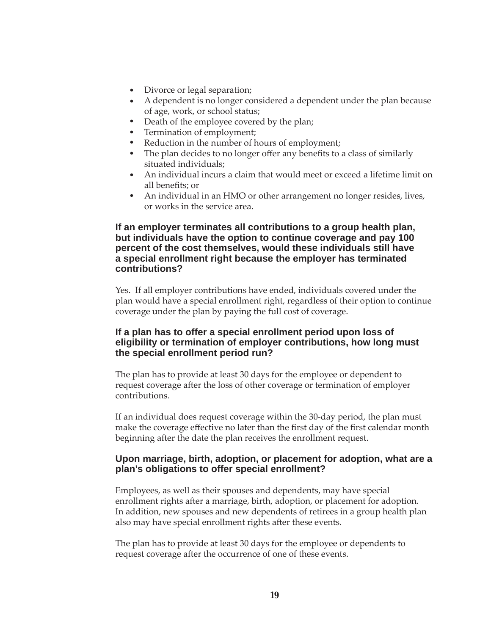- Divorce or legal separation;
- A dependent is no longer considered a dependent under the plan because of age, work, or school status;
- $\bullet$ Death of the employee covered by the plan;
- $\bullet$ Termination of employment;
- $\bullet$ Reduction in the number of hours of employment;
- $\bullet$  . The plan decides to no longer offer any benefits to a class of similarly situated individuals;
- An individual incurs a claim that would meet or exceed a lifetime limit on all benefits; or
- An individual in an HMO or other arrangement no longer resides, lives, or works in the service area.

#### **If an employer terminates all contributions to a group health plan, but individuals have the option to continue coverage and pay 100 percent of the cost themselves, would these individuals still have a special enrollment right because the employer has terminated contributions?**

Yes. If all employer contributions have ended, individuals covered under the plan would have a special enrollment right, regardless of their option to continue coverage under the plan by paying the full cost of coverage.

#### **If a plan has to offer a special enrollment period upon loss of eligibility or termination of employer contributions, how long must the special enrollment period run?**

The plan has to provide at least 30 days for the employee or dependent to request coverage after the loss of other coverage or termination of employer contributions.

If an individual does request coverage within the 30-day period, the plan must make the coverage effective no later than the first day of the first calendar month beginning after the date the plan receives the enrollment request.

#### **Upon marriage, birth, adoption, or placement for adoption, what are a plan's obligations to offer special enrollment?**

Employees, as well as their spouses and dependents, may have special enrollment rights after a marriage, birth, adoption, or placement for adoption. In addition, new spouses and new dependents of retirees in a group health plan also may have special enrollment rights after these events.

The plan has to provide at least 30 days for the employee or dependents to request coverage after the occurrence of one of these events.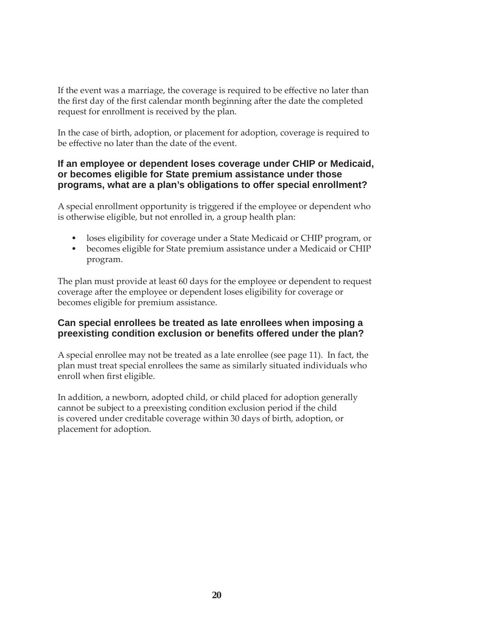If the event was a marriage, the coverage is required to be effective no later than the first day of the first calendar month beginning after the date the completed request for enrollment is received by the plan.

In the case of birth, adoption, or placement for adoption, coverage is required to be effective no later than the date of the event.

#### **If an employee or dependent loses coverage under CHIP or Medicaid, or becomes eligible for State premium assistance under those programs, what are a plan's obligations to offer special enrollment?**

A special enrollment opportunity is triggered if the employee or dependent who is otherwise eligible, but not enrolled in, a group health plan:

- loses eligibility for coverage under a State Medicaid or CHIP program, or
- becomes eligible for State premium assistance under a Medicaid or CHIP program.

The plan must provide at least 60 days for the employee or dependent to request coverage after the employee or dependent loses eligibility for coverage or becomes eligible for premium assistance.

#### **Can special enrollees be treated as late enrollees when imposing a preexisting condition exclusion or benefits offered under the plan?**

A special enrollee may not be treated as a late enrollee (see page 11). In fact, the plan must treat special enrollees the same as similarly situated individuals who enroll when first eligible.

In addition, a newborn, adopted child, or child placed for adoption generally cannot be subject to a preexisting condition exclusion period if the child is covered under creditable coverage within 30 days of birth, adoption, or placement for adoption.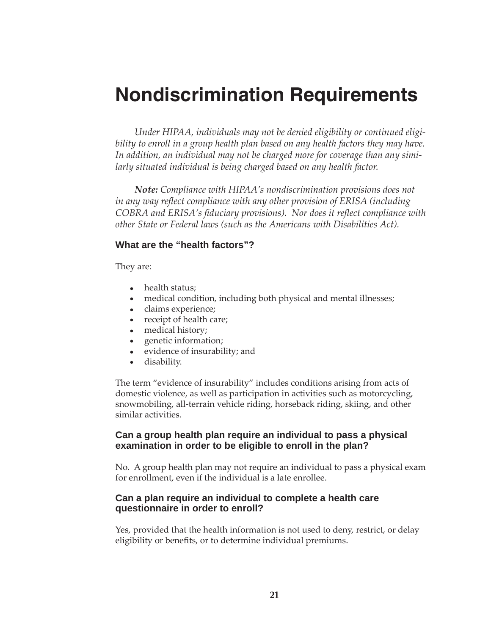# **Nondiscrimination Requirements**

*Under HIPAA, individuals may not be denied eligibility or continued eligi*bility to enroll in a group health plan based on any health factors they may have. *In addition, an individual may not be charged more for coverage than any similarly situated individual is being charged based on any health factor.* 

*Note: Compliance with HIPAA's nondiscrimination provisions does not*  in any way reflect compliance with any other provision of ERISA (including *COBRA and ERISA's fiduciary provisions). Nor does it reflect compliance with other State or Federal laws (such as the Americans with Disabilities Act).* 

#### **What are the "health factors"?**

They are:

- health status;
- medical condition, including both physical and mental illnesses;
- claims experience;
- receipt of health care;
- medical history;  $\bullet$
- genetic information;  $\bullet$
- evidence of insurability; and  $\bullet$
- disability.  $\bullet$

The term "evidence of insurability" includes conditions arising from acts of domestic violence, as well as participation in activities such as motorcycling, snowmobiling, all-terrain vehicle riding, horseback riding, skiing, and other similar activities.

#### **Can a group health plan require an individual to pass a physical examination in order to be eligible to enroll in the plan?**

No. A group health plan may not require an individual to pass a physical exam for enrollment, even if the individual is a late enrollee.

#### **Can a plan require an individual to complete a health care questionnaire in order to enroll?**

Yes, provided that the health information is not used to deny, restrict, or delay eligibility or benefits, or to determine individual premiums.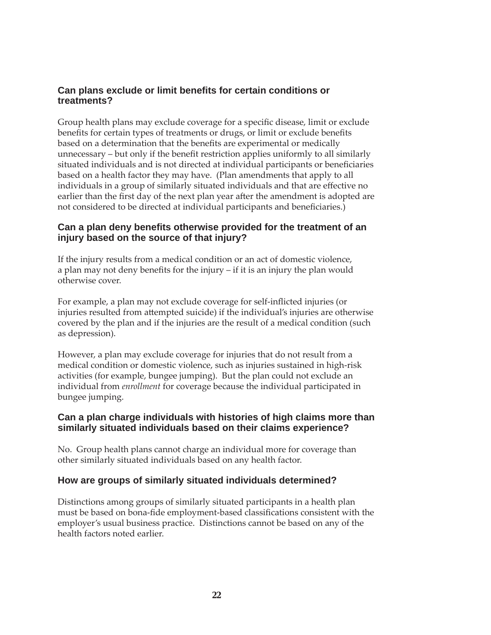# **Can plans exclude or limit benefits for certain conditions or treatments?**

Group health plans may exclude coverage for a specific disease, limit or exclude benefits for certain types of treatments or drugs, or limit or exclude benefits based on a determination that the benefits are experimental or medically unnecessary – but only if the benefit restriction applies uniformly to all similarly situated individuals and is not directed at individual participants or beneficiaries based on a health factor they may have. (Plan amendments that apply to all individuals in a group of similarly situated individuals and that are effective no earlier than the first day of the next plan year after the amendment is adopted are not considered to be directed at individual participants and beneficiaries.)

# **Can a plan deny benefi ts otherwise provided for the treatment of an injury based on the source of that injury?**

If the injury results from a medical condition or an act of domestic violence, a plan may not deny benefits for the injury  $-$  if it is an injury the plan would otherwise cover.

For example, a plan may not exclude coverage for self-inflicted injuries (or injuries resulted from attempted suicide) if the individual's injuries are otherwise covered by the plan and if the injuries are the result of a medical condition (such as depression).

However, a plan may exclude coverage for injuries that do not result from a medical condition or domestic violence, such as injuries sustained in high-risk activities (for example, bungee jumping). But the plan could not exclude an individual from *enrollment* for coverage because the individual participated in bungee jumping.

### **Can a plan charge individuals with histories of high claims more than similarly situated individuals based on their claims experience?**

No. Group health plans cannot charge an individual more for coverage than other similarly situated individuals based on any health factor.

# **How are groups of similarly situated individuals determined?**

Distinctions among groups of similarly situated participants in a health plan must be based on bona-fide employment-based classifications consistent with the employer's usual business practice. Distinctions cannot be based on any of the health factors noted earlier.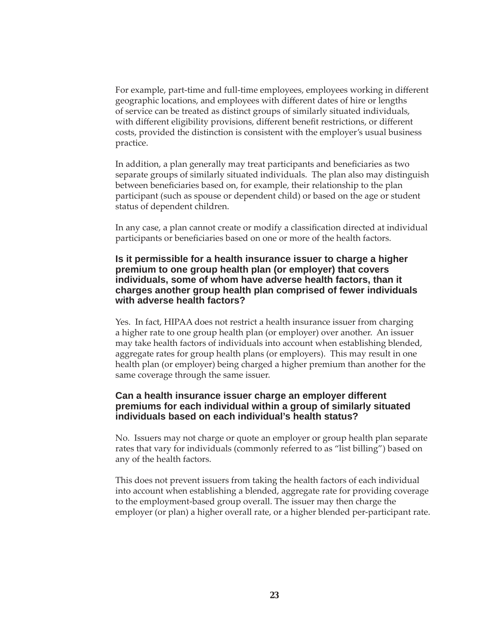For example, part-time and full-time employees, employees working in different geographic locations, and employees with different dates of hire or lengths of service can be treated as distinct groups of similarly situated individuals, with different eligibility provisions, different benefit restrictions, or different costs, provided the distinction is consistent with the employer's usual business practice.

In addition, a plan generally may treat participants and beneficiaries as two separate groups of similarly situated individuals. The plan also may distinguish between beneficiaries based on, for example, their relationship to the plan participant (such as spouse or dependent child) or based on the age or student status of dependent children.

In any case, a plan cannot create or modify a classification directed at individual participants or beneficiaries based on one or more of the health factors.

#### **Is it permissible for a health insurance issuer to charge a higher premium to one group health plan (or employer) that covers individuals, some of whom have adverse health factors, than it charges another group health plan comprised of fewer individuals with adverse health factors?**

Yes. In fact, HIPAA does not restrict a health insurance issuer from charging a higher rate to one group health plan (or employer) over another. An issuer may take health factors of individuals into account when establishing blended, aggregate rates for group health plans (or employers). This may result in one health plan (or employer) being charged a higher premium than another for the same coverage through the same issuer.

#### **Can a health insurance issuer charge an employer different premiums for each individual within a group of similarly situated individuals based on each individual's health status?**

No. Issuers may not charge or quote an employer or group health plan separate rates that vary for individuals (commonly referred to as "list billing") based on any of the health factors.

This does not prevent issuers from taking the health factors of each individual into account when establishing a blended, aggregate rate for providing coverage to the employment-based group overall. The issuer may then charge the employer (or plan) a higher overall rate, or a higher blended per-participant rate.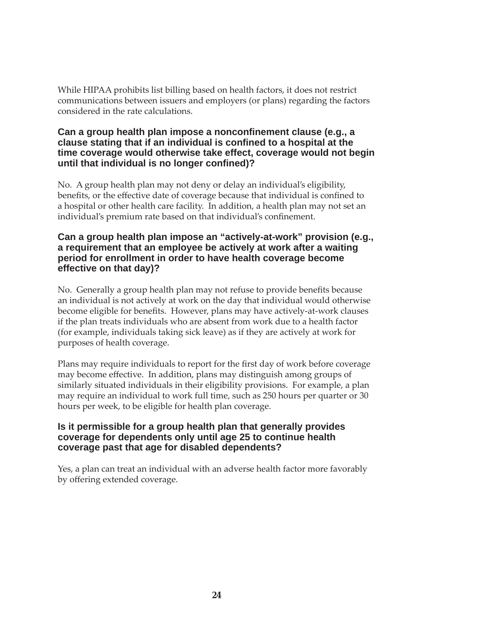While HIPAA prohibits list billing based on health factors, it does not restrict communications between issuers and employers (or plans) regarding the factors considered in the rate calculations.

#### **Can a group health plan impose a nonconfinement clause (e.g., a clause stating that if an individual is confi ned to a hospital at the time coverage would otherwise take effect, coverage would not begin until that individual is no longer confined)?**

No. A group health plan may not deny or delay an individual's eligibility, benefits, or the effective date of coverage because that individual is confined to a hospital or other health care facility. In addition, a health plan may not set an individual's premium rate based on that individual's confinement.

#### **Can a group health plan impose an "actively-at-work" provision (e.g., a requirement that an employee be actively at work after a waiting period for enrollment in order to have health coverage become effective on that day)?**

No. Generally a group health plan may not refuse to provide benefits because an individual is not actively at work on the day that individual would otherwise become eligible for benefits. However, plans may have actively-at-work clauses if the plan treats individuals who are absent from work due to a health factor (for example, individuals taking sick leave) as if they are actively at work for purposes of health coverage.

Plans may require individuals to report for the first day of work before coverage may become effective. In addition, plans may distinguish among groups of similarly situated individuals in their eligibility provisions. For example, a plan may require an individual to work full time, such as 250 hours per quarter or 30 hours per week, to be eligible for health plan coverage.

#### **Is it permissible for a group health plan that generally provides coverage for dependents only until age 25 to continue health coverage past that age for disabled dependents?**

Yes, a plan can treat an individual with an adverse health factor more favorably by offering extended coverage.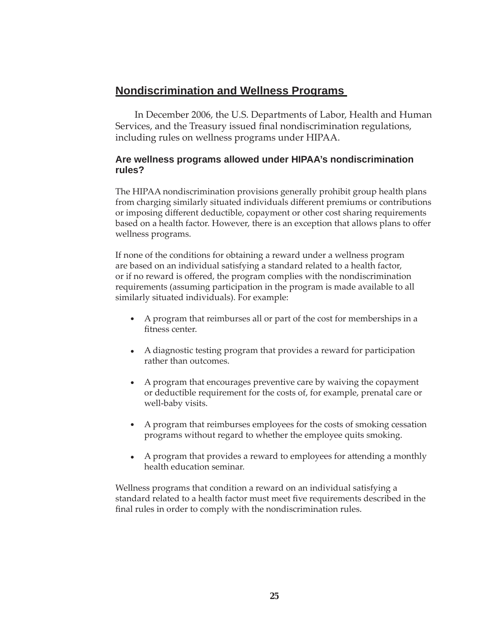# **Nondiscrimination and Wellness Programs**

In December 2006, the U.S. Departments of Labor, Health and Human Services, and the Treasury issued final nondiscrimination regulations, including rules on wellness programs under HIPAA.

# **Are wellness programs allowed under HIPAA's nondiscrimination rules?**

The HIPAA nondiscrimination provisions generally prohibit group health plans from charging similarly situated individuals different premiums or contributions or imposing different deductible, copayment or other cost sharing requirements based on a health factor. However, there is an exception that allows plans to offer wellness programs.

If none of the conditions for obtaining a reward under a wellness program are based on an individual satisfying a standard related to a health factor, or if no reward is offered, the program complies with the nondiscrimination requirements (assuming participation in the program is made available to all similarly situated individuals). For example:

- A program that reimburses all or part of the cost for memberships in a fitness center.
- A diagnostic testing program that provides a reward for participation rather than outcomes.
- $\bullet$ A program that encourages preventive care by waiving the copayment or deductible requirement for the costs of, for example, prenatal care or well-baby visits.
- $\bullet$ A program that reimburses employees for the costs of smoking cessation programs without regard to whether the employee quits smoking.
- $\bullet$ A program that provides a reward to employees for attending a monthly health education seminar.

Wellness programs that condition a reward on an individual satisfying a standard related to a health factor must meet five requirements described in the final rules in order to comply with the nondiscrimination rules.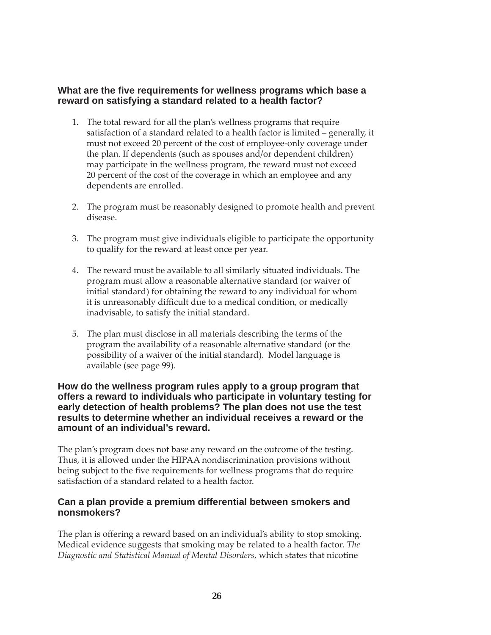#### **What are the fi ve requirements for wellness programs which base a reward on satisfying a standard related to a health factor?**

- 1. The total reward for all the plan's wellness programs that require satisfaction of a standard related to a health factor is limited – generally, it must not exceed 20 percent of the cost of employee-only coverage under the plan. If dependents (such as spouses and/or dependent children) may participate in the wellness program, the reward must not exceed 20 percent of the cost of the coverage in which an employee and any dependents are enrolled.
- 2. The program must be reasonably designed to promote health and prevent disease.
- 3. The program must give individuals eligible to participate the opportunity to qualify for the reward at least once per year.
- 4. The reward must be available to all similarly situated individuals. The program must allow a reasonable alternative standard (or waiver of initial standard) for obtaining the reward to any individual for whom it is unreasonably difficult due to a medical condition, or medically inadvisable, to satisfy the initial standard.
- 5. The plan must disclose in all materials describing the terms of the program the availability of a reasonable alternative standard (or the possibility of a waiver of the initial standard). Model language is available (see page 99).

#### **How do the wellness program rules apply to a group program that offers a reward to individuals who participate in voluntary testing for early detection of health problems? The plan does not use the test results to determine whether an individual receives a reward or the amount of an individual's reward.**

The plan's program does not base any reward on the outcome of the testing. Thus, it is allowed under the HIPAA nondiscrimination provisions without being subject to the five requirements for wellness programs that do require satisfaction of a standard related to a health factor.

### **Can a plan provide a premium differential between smokers and nonsmokers?**

The plan is offering a reward based on an individual's ability to stop smoking. Medical evidence suggests that smoking may be related to a health factor. *The Diagnostic and Statistical Manual of Mental Disorders*, which states that nicotine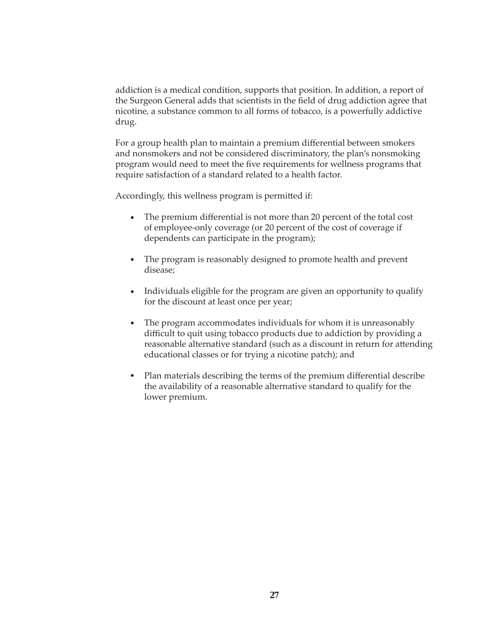addiction is a medical condition, supports that position. In addition, a report of the Surgeon General adds that scientists in the field of drug addiction agree that nicotine, a substance common to all forms of tobacco, is a powerfully addictive drug.

For a group health plan to maintain a premium differential between smokers and nonsmokers and not be considered discriminatory, the plan's nonsmoking program would need to meet the five requirements for wellness programs that require satisfaction of a standard related to a health factor.

Accordingly, this wellness program is permitted if:

- $\bullet$ The premium differential is not more than 20 percent of the total cost of employee-only coverage (or 20 percent of the cost of coverage if dependents can participate in the program);
- The program is reasonably designed to promote health and prevent disease;
- Individuals eligible for the program are given an opportunity to qualify for the discount at least once per year;
- The program accommodates individuals for whom it is unreasonably difficult to quit using tobacco products due to addiction by providing a reasonable alternative standard (such as a discount in return for attending educational classes or for trying a nicotine patch); and  $\bullet$
- Plan materials describing the terms of the premium differential describe the availability of a reasonable alternative standard to qualify for the lower premium.  $\bullet$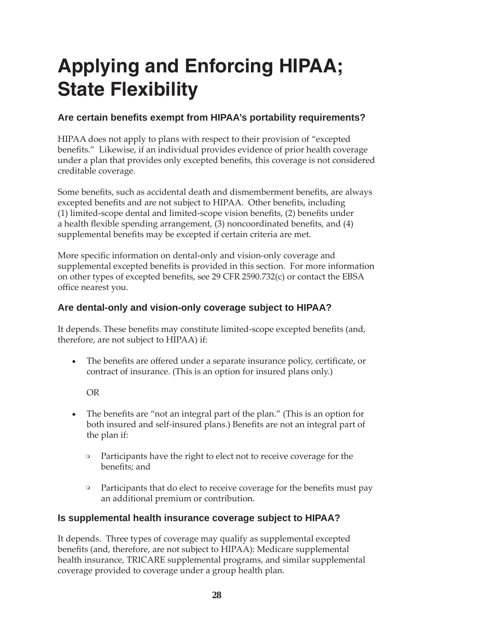# **Applying and Enforcing HIPAA; State Flexibility**

# Are certain benefits exempt from HIPAA's portability requirements?

HIPAA does not apply to plans with respect to their provision of "excepted benefits." Likewise, if an individual provides evidence of prior health coverage under a plan that provides only excepted benefits, this coverage is not considered creditable coverage.

Some benefits, such as accidental death and dismemberment benefits, are always excepted benefits and are not subject to HIPAA. Other benefits, including (1) limited-scope dental and limited-scope vision benefits,  $(2)$  benefits under a health flexible spending arrangement, (3) noncoordinated benefits, and (4) supplemental benefits may be excepted if certain criteria are met.

More specific information on dental-only and vision-only coverage and supplemental excepted benefits is provided in this section. For more information on other types of excepted benefits, see 29 CFR 2590.732 $(c)$  or contact the EBSA office nearest you.

# **Are dental-only and vision-only coverage subject to HIPAA?**

It depends. These benefits may constitute limited-scope excepted benefits (and, therefore, are not subject to HIPAA) if:

The benefits are offered under a separate insurance policy, certificate, or contract of insurance. (This is an option for insured plans only.)  $\bullet$ 

OR

- The benefits are "not an integral part of the plan." (This is an option for both insured and self-insured plans.) Benefits are not an integral part of the plan if:  $\bullet$ 
	- Participants have the right to elect not to receive coverage for the benefits; and  $\circ$
	- Participants that do elect to receive coverage for the benefits must pay an additional premium or contribution.  $\circ$

# **Is supplemental health insurance coverage subject to HIPAA?**

It depends. Three types of coverage may qualify as supplemental excepted benefits (and, therefore, are not subject to HIPAA): Medicare supplemental health insurance, TRICARE supplemental programs, and similar supplemental coverage provided to coverage under a group health plan.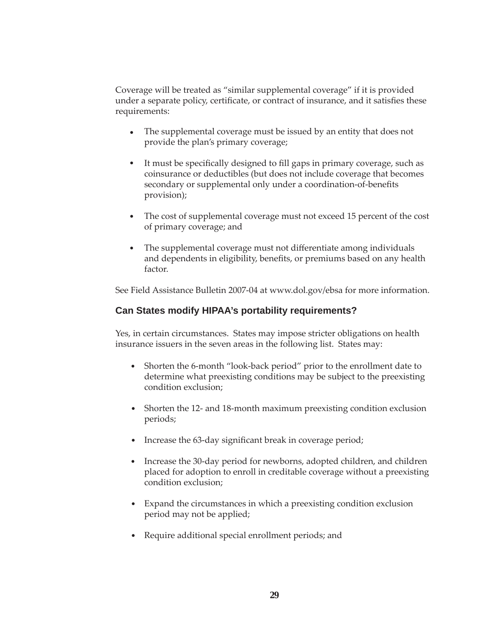Coverage will be treated as "similar supplemental coverage" if it is provided under a separate policy, certificate, or contract of insurance, and it satisfies these requirements:

- The supplemental coverage must be issued by an entity that does not provide the plan's primary coverage;  $\bullet$
- It must be specifically designed to fill gaps in primary coverage, such as coinsurance or deductibles (but does not include coverage that becomes secondary or supplemental only under a coordination-of-benefits provision);  $\bullet$
- The cost of supplemental coverage must not exceed 15 percent of the cost of primary coverage; and  $\bullet$
- The supplemental coverage must not differentiate among individuals and dependents in eligibility, benefits, or premiums based on any health factor.  $\bullet$

See Field Assistance Bulletin 2007-04 at www.dol.gov/ebsa for more information.

#### **Can States modify HIPAA's portability requirements?**

Yes, in certain circumstances. States may impose stricter obligations on health insurance issuers in the seven areas in the following list. States may:

- Shorten the 6-month "look-back period" prior to the enrollment date to determine what preexisting conditions may be subject to the preexisting condition exclusion;
- Shorten the 12- and 18-month maximum preexisting condition exclusion periods;
- Increase the 63-day significant break in coverage period;
- Increase the 30-day period for newborns, adopted children, and children placed for adoption to enroll in creditable coverage without a preexisting condition exclusion;
- Expand the circumstances in which a preexisting condition exclusion period may not be applied;
- Require additional special enrollment periods; and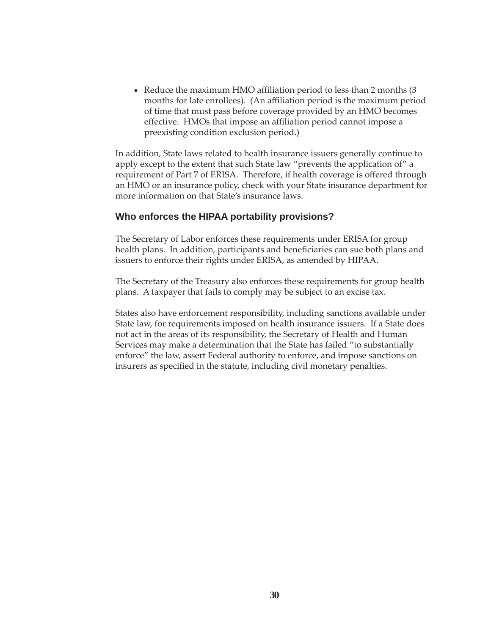• Reduce the maximum HMO affiliation period to less than 2 months  $(3)$ months for late enrollees). (An affiliation period is the maximum period of time that must pass before coverage provided by an HMO becomes effective. HMOs that impose an affiliation period cannot impose a preexisting condition exclusion period.)

In addition, State laws related to health insurance issuers generally continue to apply except to the extent that such State law "prevents the application of" a requirement of Part 7 of ERISA. Therefore, if health coverage is offered through an HMO or an insurance policy, check with your State insurance department for more information on that State's insurance laws.

#### **Who enforces the HIPAA portability provisions?**

The Secretary of Labor enforces these requirements under ERISA for group health plans. In addition, participants and beneficiaries can sue both plans and issuers to enforce their rights under ERISA, as amended by HIPAA.

The Secretary of the Treasury also enforces these requirements for group health plans. A taxpayer that fails to comply may be subject to an excise tax.

States also have enforcement responsibility, including sanctions available under State law, for requirements imposed on health insurance issuers. If a State does not act in the areas of its responsibility, the Secretary of Health and Human Services may make a determination that the State has failed "to substantially enforce" the law, assert Federal authority to enforce, and impose sanctions on insurers as specified in the statute, including civil monetary penalties.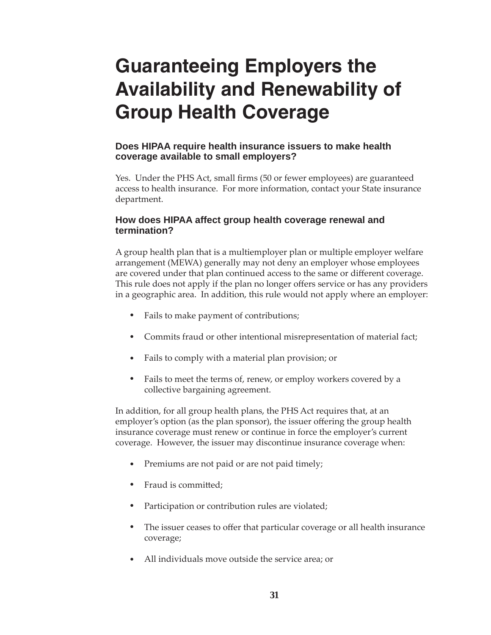# **Guaranteeing Employers the Availability and Renewability of Group Health Coverage**

#### **Does HIPAA require health insurance issuers to make health coverage available to small employers?**

Yes. Under the PHS Act, small firms (50 or fewer employees) are guaranteed access to health insurance. For more information, contact your State insurance department.

### **How does HIPAA affect group health coverage renewal and termination?**

A group health plan that is a multiemployer plan or multiple employer welfare arrangement (MEWA) generally may not deny an employer whose employees are covered under that plan continued access to the same or different coverage. This rule does not apply if the plan no longer offers service or has any providers in a geographic area. In addition, this rule would not apply where an employer:

- Fails to make payment of contributions;
- Commits fraud or other intentional misrepresentation of material fact;
- Fails to comply with a material plan provision; or
- Fails to meet the terms of, renew, or employ workers covered by a collective bargaining agreement.  $\bullet$

In addition, for all group health plans, the PHS Act requires that, at an employer's option (as the plan sponsor), the issuer offering the group health insurance coverage must renew or continue in force the employer's current coverage. However, the issuer may discontinue insurance coverage when:

- Premiums are not paid or are not paid timely;
- Fraud is committed;
- Participation or contribution rules are violated;  $\bullet$
- The issuer ceases to offer that particular coverage or all health insurance coverage;
- All individuals move outside the service area; or